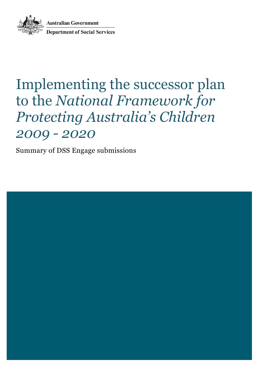**Australian Government<br>Department of Social Services** 

# Implementing the successor plan to the *National Framework for Protecting Australia's Children 2009 - 2020*

Summary of DSS Engage submissions

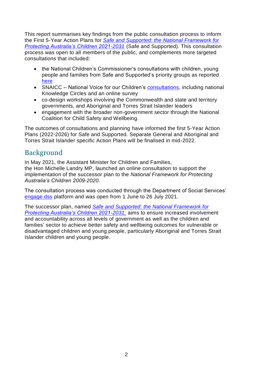This report summarises key findings from the public consultation process to inform the First 5-Year Action Plans for *[Safe and Supported: the National Framework for](https://www.dss.gov.au/sites/default/files/documents/12_2021/dess5016-national-framework-protecting-childrenaccessible.pdf)  [Protecting Australia's Children 2021-2031](https://www.dss.gov.au/sites/default/files/documents/12_2021/dess5016-national-framework-protecting-childrenaccessible.pdf)* (Safe and Supported). This consultation process was open to all members of the public, and complements more targeted consultations that included:

- the National Children's Commissioner's consultations with children, young people and families from Safe and Supported's priority groups as reported [here](https://humanrights.gov.au/safeandwell)
- SNAICC National Voice for our Children's [consultations,](https://www.snaicc.org.au/protecting-australias-children/) including national Knowledge Circles and an online survey
- co-design workshops involving the Commonwealth and state and territory governments, and Aboriginal and Torres Strait Islander leaders
- engagement with the broader non-government sector through the National Coalition for Child Safety and Wellbeing.

The outcomes of consultations and planning have informed the first 5-Year Action Plans (2022-2026) for Safe and Supported. Separate General and Aboriginal and Torres Strait Islander specific Action Plans will be finalised in mid-2022.

## Background

In May 2021, the Assistant Minister for Children and Families, the Hon Michelle Landry MP, launched an online consultation to support the implementation of the successor plan to the *National Framework for Protecting Australia's Children 2009-2020*.

The consultation process was conducted through the Department of Social Services' [engage.dss](https://engage.dss.gov.au/) platform and was open from 1 June to 26 July 2021.

The successor plan, named *[Safe and Supported: the National Framework for](https://www.dss.gov.au/sites/default/files/documents/12_2021/dess5016-national-framework-protecting-childrenaccessible.pdf)  [Protecting Australia's Children 2021-2031,](https://www.dss.gov.au/sites/default/files/documents/12_2021/dess5016-national-framework-protecting-childrenaccessible.pdf)* aims to ensure increased involvement and accountability across all levels of government as well as the children and families' sector to achieve better safety and wellbeing outcomes for vulnerable or disadvantaged children and young people, particularly Aboriginal and Torres Strait Islander children and young people.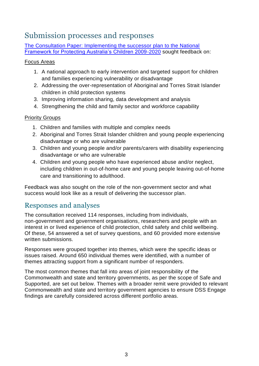# Submission processes and responses

[The Consultation Paper: Implementing the successor plan to the National](https://engage.dss.gov.au/implementing-the-successor-plan-to-the-national-framework/implementing-the-successor-plan-to-the-national-framework-discussion-paper/)  [Framework for Protecting Australia's Children 2009-2020](https://engage.dss.gov.au/implementing-the-successor-plan-to-the-national-framework/implementing-the-successor-plan-to-the-national-framework-discussion-paper/) sought feedback on:

### Focus Areas

- 1. A national approach to early intervention and targeted support for children and families experiencing vulnerability or disadvantage
- 2. Addressing the over-representation of Aboriginal and Torres Strait Islander children in child protection systems
- 3. Improving information sharing, data development and analysis
- 4. Strengthening the child and family sector and workforce capability

## Priority Groups

- 1. Children and families with multiple and complex needs
- 2. Aboriginal and Torres Strait Islander children and young people experiencing disadvantage or who are vulnerable
- 3. Children and young people and/or parents/carers with disability experiencing disadvantage or who are vulnerable
- 4. Children and young people who have experienced abuse and/or neglect, including children in out-of-home care and young people leaving out-of-home care and transitioning to adulthood.

Feedback was also sought on the role of the non-government sector and what success would look like as a result of delivering the successor plan.

## Responses and analyses

The consultation received 114 responses, including from individuals, non-government and government organisations, researchers and people with an interest in or lived experience of child protection, child safety and child wellbeing. Of these, 54 answered a set of survey questions, and 60 provided more extensive written submissions.

Responses were grouped together into themes, which were the specific ideas or issues raised. Around 650 individual themes were identified, with a number of themes attracting support from a significant number of responders.

The most common themes that fall into areas of joint responsibility of the Commonwealth and state and territory governments, as per the scope of Safe and Supported, are set out below. Themes with a broader remit were provided to relevant Commonwealth and state and territory government agencies to ensure DSS Engage findings are carefully considered across different portfolio areas.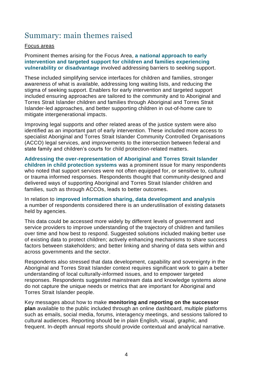## Summary: main themes raised

#### Focus areas

Prominent themes arising for the Focus Area, **a national approach to early intervention and targeted support for children and families experiencing vulnerability or disadvantage** involved addressing barriers to seeking support.

These included simplifying service interfaces for children and families, stronger awareness of what is available, addressing long waiting lists, and reducing the stigma of seeking support. Enablers for early intervention and targeted support included ensuring approaches are tailored to the community and to Aboriginal and Torres Strait Islander children and families through Aboriginal and Torres Strait Islander-led approaches, and better supporting children in out-of-home care to mitigate intergenerational impacts.

Improving legal supports and other related areas of the justice system were also identified as an important part of early intervention. These included more access to specialist Aboriginal and Torres Strait Islander Community Controlled Organisations (ACCO) legal services, and improvements to the intersection between federal and state family and children's courts for child protection-related matters.

**Addressing the over-representation of Aboriginal and Torres Strait Islander children in child protection systems** was a prominent issue for many respondents who noted that support services were not often equipped for, or sensitive to, cultural or trauma informed responses. Respondents thought that community-designed and delivered ways of supporting Aboriginal and Torres Strait Islander children and families, such as through ACCOs, leads to better outcomes.

In relation to **improved information sharing, data development and analysis** a number of respondents considered there is an underutilisation of existing datasets held by agencies.

This data could be accessed more widely by different levels of government and service providers to improve understanding of the trajectory of children and families over time and how best to respond. Suggested solutions included making better use of existing data to protect children; actively enhancing mechanisms to share success factors between stakeholders; and better linking and sharing of data sets within and across governments and the sector.

Respondents also stressed that data development, capability and sovereignty in the Aboriginal and Torres Strait Islander context requires significant work to gain a better understanding of local culturally-informed issues, and to empower targeted responses. Respondents suggested mainstream data and knowledge systems alone do not capture the unique needs or metrics that are important for Aboriginal and Torres Strait Islander people.

Key messages about how to make **monitoring and reporting on the successor plan** available to the public included through an online dashboard, multiple platforms such as emails, social media, forums, interagency meetings, and sessions tailored to cultural audiences. Reporting should be in plain English, visual, graphic, and frequent. In-depth annual reports should provide contextual and analytical narrative.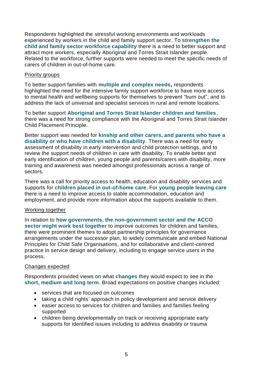Respondents highlighted the stressful working environments and workloads experienced by workers in the child and family support sector. To **strengthen the child and family sector workforce capability** there is a need to better support and attract more workers, especially Aboriginal and Torres Strait Islander people. Related to the workforce, further supports were needed to meet the specific needs of carers of children in out-of-home care.

#### Priority groups

To better support families with **multiple and complex needs,** respondents highlighted the need for the intensive family support workforce to have more access to mental health and wellbeing supports for themselves to prevent "burn out"; and to address the lack of universal and specialist services in rural and remote locations.

To better support **Aboriginal and Torres Strait Islander children and families**, there was a need for strong compliance with the Aboriginal and Torres Strait Islander Child Placement Principle.

Better support was needed for **kinship and other carers, and parents who have a disability or who have children with a disability**. There was a need for early assessment of disability in early intervention and child protection settings, and to review the support needs of children in care with disability. To enable better and early identification of children, young people and parents/carers with disability, more training and awareness was needed amongst professionals across a range of sectors.

There was a call for priority access to health, education and disability services and supports for **children placed in out-of-home care**. For **young people leaving care** there is a need to improve access to stable accommodation, education and employment, and provide more information about the supports available to them.

#### Working together

In relation to **how governments, the non-government sector and the ACCO sector might work best together** to improve outcomes for children and families, there were prominent themes to adopt partnership principles for governance arrangements under the successor plan, to widely communicate and embed National Principles for Child Safe Organisations, and for collaborative and client-centred practice in service design and delivery, including to engage service users in the process.

#### Changes expected

Respondents provided views on what **changes** they would expect to see in the **short, medium and long term**. Broad expectations on positive changes included:

- services that are focused on outcomes
- taking a child rights' approach in policy development and service delivery
- easier access to services for children and families and families feeling supported
- children being developmentally on track or receiving appropriate early supports for identified issues including to address disability or trauma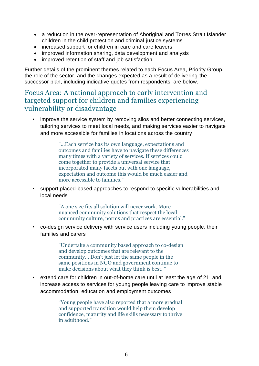- a reduction in the over-representation of Aboriginal and Torres Strait Islander children in the child protection and criminal justice systems
- increased support for children in care and care leavers
- improved information sharing, data development and analysis
- improved retention of staff and job satisfaction.

Further details of the prominent themes related to each Focus Area, Priority Group, the role of the sector, and the changes expected as a result of delivering the successor plan, including indicative quotes from respondents, are below.

## Focus Area: A national approach to early intervention and targeted support for children and families experiencing vulnerability or disadvantage

• improve the service system by removing silos and better connecting services, tailoring services to meet local needs, and making services easier to navigate and more accessible for families in locations across the country

> "…Each service has its own language, expectations and outcomes and families have to navigate these differences many times with a variety of services. If services could come together to provide a universal service that incorporated many facets but with one language, expectation and outcome this would be much easier and more accessible to families."

• support placed-based approaches to respond to specific vulnerabilities and local needs

> "A one size fits all solution will never work. More nuanced community solutions that respect the local community culture, norms and practices are essential."

• co-design service delivery with service users including young people, their families and carers

> "Undertake a community based approach to co-design and develop outcomes that are relevant to the community… Don't just let the same people in the same positions in NGO and government continue to make decisions about what they think is best. "

extend care for children in out-of-home care until at least the age of 21; and increase access to services for young people leaving care to improve stable accommodation, education and employment outcomes

> "Young people have also reported that a more gradual and supported transition would help them develop confidence, maturity and life skills necessary to thrive in adulthood."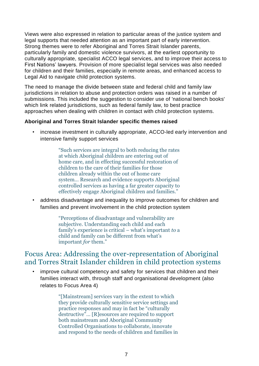Views were also expressed in relation to particular areas of the justice system and legal supports that needed attention as an important part of early intervention. Strong themes were to refer Aboriginal and Torres Strait Islander parents, particularly family and domestic violence survivors, at the earliest opportunity to culturally appropriate, specialist ACCO legal services, and to improve their access to First Nations' lawyers. Provision of more specialist legal services was also needed for children and their families, especially in remote areas, and enhanced access to Legal Aid to navigate child protection systems.

The need to manage the divide between state and federal child and family law jurisdictions in relation to abuse and protection orders was raised in a number of submissions. This included the suggestion to consider use of 'national bench books' which link related jurisdictions, such as federal family law, to best practice approaches when dealing with children in contact with child protection systems.

#### **Aboriginal and Torres Strait Islander specific themes raised**

increase investment in culturally appropriate, ACCO-led early intervention and intensive family support services

> "Such services are integral to both reducing the rates at which Aboriginal children are entering out of home care, and in effecting successful restoration of children to the care of their families for those children already within the out of home care system… Research and evidence supports Aboriginal controlled services as having a far greater capacity to effectively engage Aboriginal children and families."

• address disadvantage and inequality to improve outcomes for children and families and prevent involvement in the child protection system

> "Perceptions of disadvantage and vulnerability are subjective. Understanding each child and each family's experience is critical – what's important *to* a child and family can be different from what's important *for* them."

## Focus Area: Addressing the over-representation of Aboriginal and Torres Strait Islander children in child protection systems

• improve cultural competency and safety for services that children and their families interact with, through staff and organisational development (also relates to Focus Area 4)

> "[Mainstream] services vary in the extent to which they provide culturally sensitive service settings and practice responses and may in fact be "culturally destructive"… [R]esources are required to support both mainstream and Aboriginal Community Controlled Organisations to collaborate, innovate and respond to the needs of children and families in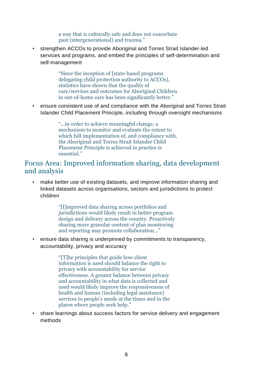a way that is culturally safe and does not exacerbate past (intergenerational) and trauma."

• strengthen ACCOs to provide Aboriginal and Torres Strait Islander-led services and programs, and embed the principles of self-determination and self-management

> "Since the inception of [state-based programs delegating child protection authority to ACCOs], statistics have shown that the quality of care/services and outcomes for Aboriginal Children in out-of-home care has been significantly better."

• ensure consistent use of and compliance with the Aboriginal and Torres Strait Islander Child Placement Principle, including through oversight mechanisms

> "…in order to achieve meaningful change, a mechanism to monitor and evaluate the extent to which full implementation of, and compliance with, the Aboriginal and Torres Strait Islander Child Placement Principle is achieved in practice is essential."

## Focus Area: Improved information sharing, data development and analysis

make better use of existing datasets, and improve information sharing and linked datasets across organisations, sectors and jurisdictions to protect children

> "[I]mproved data sharing across portfolios and jurisdictions would likely result in better program design and delivery across the country. Proactively sharing more granular content of plan monitoring and reporting may promote collaboration…"

• ensure data sharing is underpinned by commitments to transparency, accountability, privacy and accuracy

> "[T]he principles that guide how client information is used should balance the right to privacy with accountability for service effectiveness. A greater balance between privacy and accountability in what data is collected and used would likely improve the responsiveness of health and human (including legal assistance) services to people's needs at the times and in the places where people seek help."

• share learnings about success factors for service delivery and engagement methods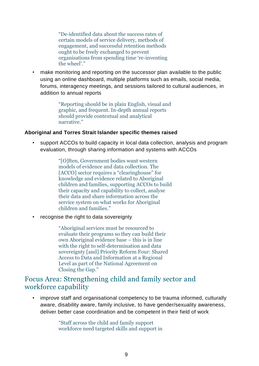"De-identified data about the success rates of certain models of service delivery, methods of engagement, and successful retention methods ought to be freely exchanged to prevent organisations from spending time 're-inventing the wheel'."

• make monitoring and reporting on the successor plan available to the public using an online dashboard, multiple platforms such as emails, social media, forums, interagency meetings, and sessions tailored to cultural audiences, in addition to annual reports

> "Reporting should be in plain English, visual and graphic, and frequent. In-depth annual reports should provide contextual and analytical narrative."

#### **Aboriginal and Torres Strait Islander specific themes raised**

• support ACCOs to build capacity in local data collection, analysis and program evaluation, through sharing information and systems with ACCOs

> "[O]ften, Government bodies want western models of evidence and data collection. The [ACCO] sector requires a "clearinghouse" for knowledge and evidence related to Aboriginal children and families, supporting ACCOs to build their capacity and capability to collect, analyse their data and share information across the service system on what works for Aboriginal children and families."

recognise the right to data sovereignty

"Aboriginal services must be resourced to evaluate their programs so they can build their own Aboriginal evidence base – this is in line with the right to self-determination and data sovereignty [and] Priority Reform Four: Shared Access to Data and Information at a Regional Level as part of the National Agreement on Closing the Gap."

## Focus Area: Strengthening child and family sector and workforce capability

• improve staff and organisational competency to be trauma informed, culturally aware, disability aware, family inclusive, to have gender/sexuality awareness, deliver better case coordination and be competent in their field of work

> "Staff across the child and family support workforce need targeted skills and support in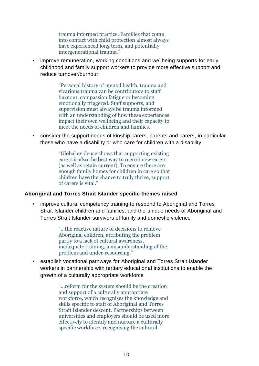trauma informed practice. Families that come into contact with child protection almost always have experienced long term, and potentially intergenerational trauma."

• improve remuneration, working conditions and wellbeing supports for early childhood and family support workers to provide more effective support and reduce turnover/burnout

> "Personal history of mental health, trauma and vicarious trauma can be contributors to staff burnout, compassion fatigue or becoming emotionally triggered. Staff supports, and supervision must always be trauma informed with an understanding of how these experiences impact their own wellbeing and their capacity to meet the needs of children and families."

• consider the support needs of kinship carers, parents and carers, in particular those who have a disability or who care for children with a disability

> "Global evidence shows that supporting existing carers is also the best way to recruit new carers (as well as retain current). To ensure there are enough family homes for children in care so that children have the chance to truly thrive, support of carers is vital."

#### **Aboriginal and Torres Strait Islander specific themes raised**

improve cultural competency training to respond to Aboriginal and Torres Strait Islander children and families, and the unique needs of Aboriginal and Torres Strait Islander survivors of family and domestic violence

> "…the reactive nature of decisions to remove Aboriginal children, attributing the problem partly to a lack of cultural awareness, inadequate training, a misunderstanding of the problem and under-resourcing."

• establish vocational pathways for Aboriginal and Torres Strait Islander workers in partnership with tertiary educational institutions to enable the growth of a culturally appropriate workforce

> "…reform for the system should be the creation and support of a culturally appropriate workforce, which recognises the knowledge and skills specific to staff of Aboriginal and Torres Strait Islander descent. Partnerships between universities and employers should be used more effectively to identify and nurture a culturally specific workforce, recognising the cultural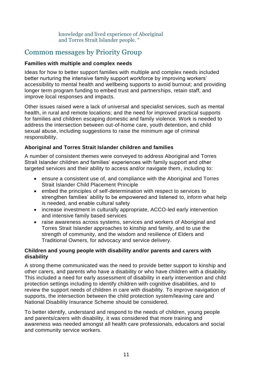knowledge and lived experience of Aboriginal and Torres Strait Islander people. "

## Common messages by Priority Group

### **Families with multiple and complex needs**

Ideas for how to better support families with multiple and complex needs included better nurturing the intensive family support workforce by improving workers' accessibility to mental health and wellbeing supports to avoid burnout; and providing longer term program funding to embed trust and partnerships, retain staff, and improve local responses and impacts.

Other issues raised were a lack of universal and specialist services, such as mental health, in rural and remote locations; and the need for improved practical supports for families and children escaping domestic and family violence. Work is needed to address the intersection between out-of-home care, youth detention, and child sexual abuse, including suggestions to raise the minimum age of criminal responsibility.

## **Aboriginal and Torres Strait Islander children and families**

A number of consistent themes were conveyed to address Aboriginal and Torres Strait Islander children and families' experiences with family support and other targeted services and their ability to access and/or navigate them, including to:

- ensure a consistent use of, and compliance with the Aboriginal and Torres Strait Islander Child Placement Principle
- embed the principles of self-determination with respect to services to strengthen families' ability to be empowered and listened to, inform what help is needed, and enable cultural safety
- increase investment in culturally appropriate, ACCO-led early intervention and intensive family based services
- raise awareness across systems, services and workers of Aboriginal and Torres Strait Islander approaches to kinship and family, and to use the strength of community, and the wisdom and resilience of Elders and Traditional Owners, for advocacy and service delivery.

#### **Children and young people with disability and/or parents and carers with disability**

A strong theme communicated was the need to provide better support to kinship and other carers, and parents who have a disability or who have children with a disability. This included a need for early assessment of disability in early intervention and child protection settings including to identify children with cognitive disabilities, and to review the support needs of children in care with disability. To improve navigation of supports, the intersection between the child protection system/leaving care and National Disability Insurance Scheme should be considered.

To better identify, understand and respond to the needs of children, young people and parents/carers with disability, it was considered that more training and awareness was needed amongst all health care professionals, educators and social and community service workers.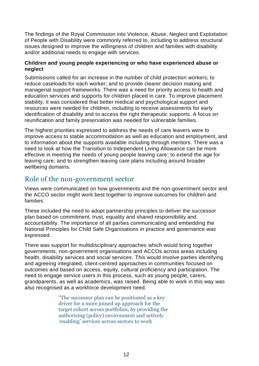The findings of the Royal Commission into Violence, Abuse, Neglect and Exploitation of People with Disability were commonly referred to, including to address structural issues designed to improve the willingness of children and families with disability and/or additional needs to engage with services.

#### **Children and young people experiencing or who have experienced abuse or neglect**

Submissions called for an increase in the number of child protection workers; to reduce caseloads for each worker; and to provide clearer decision making and managerial support frameworks. There was a need for priority access to health and education services and supports for children placed in care. To improve placement stability, it was considered that better medical and psychological support and resources were needed for children, including to receive assessments for early identification of disability and to access the right therapeutic supports. A focus on reunification and family preservation was needed for vulnerable families.

The highest priorities expressed to address the needs of care leavers were to improve access to stable accommodation as well as education and employment, and to information about the supports available including through mentors. There was a need to look at how the Transition to Independent Living Allowance can be more effective in meeting the needs of young people leaving care; to extend the age for leaving care; and to strengthen leaving care plans including around broader wellbeing domains.

## Role of the non-government sector

Views were communicated on how governments and the non-government sector and the ACCO sector might work best together to improve outcomes for children and families.

These included the need to adopt partnership principles to deliver the successor plan based on commitment, trust, equality and shared responsibility and accountability. The importance of all parties communicating and embedding the National Principles for Child Safe Organisations in practice and governance was expressed.

There was support for multidisciplinary approaches which would bring together governments, non-government organisations and ACCOs across areas including health, disability services and social services. This would involve parties identifying and agreeing integrated, client-centred approaches in communities focused on outcomes and based on access, equity, cultural proficiency and participation. The need to engage service users in this process, such as young people, carers, grandparents, as well as academics, was raised. Being able to work in this way was also recognised as a workforce development need.

> "The successor plan can be positioned as a key driver for a more joined up approach for the target cohort across portfolios, by providing the authorising (policy) environment and actively 'enabling' services across sectors to work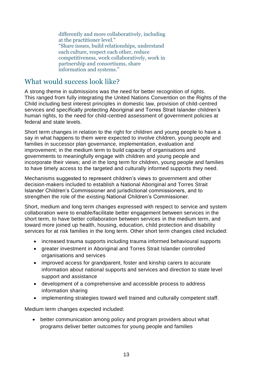differently and more collaboratively, including at the practitioner level." "Share issues, build relationships, understand each culture, respect each other, reduce competitiveness, work collaboratively, work in partnership and consortiums, share information and systems."

## What would success look like?

A strong theme in submissions was the need for better recognition of rights. This ranged from fully integrating the United Nations Convention on the Rights of the Child including best interest principles in domestic law, provision of child-centred services and specifically protecting Aboriginal and Torres Strait Islander children's human rights, to the need for child-centred assessment of government policies at federal and state levels.

Short term changes in relation to the right for children and young people to have a say in what happens to them were expected to involve children, young people and families in successor plan governance, implementation, evaluation and improvement; in the medium term to build capacity of organisations and governments to meaningfully engage with children and young people and incorporate their views; and in the long term for children, young people and families to have timely access to the targeted and culturally informed supports they need.

Mechanisms suggested to represent children's views to government and other decision-makers included to establish a National Aboriginal and Torres Strait Islander Children's Commissioner and jurisdictional commissioners, and to strengthen the role of the existing National Children's Commissioner.

Short, medium and long term changes expressed with respect to service and system collaboration were to enable/facilitate better engagement between services in the short term, to have better collaboration between services in the medium term, and toward more joined up health, housing, education, child protection and disability services for at risk families in the long term. Other short term changes cited included:

- increased trauma supports including trauma informed behavioural supports
- greater investment in Aboriginal and Torres Strait Islander controlled organisations and services
- improved access for grandparent, foster and kinship carers to accurate information about national supports and services and direction to state level support and assistance
- development of a comprehensive and accessible process to address information sharing
- implementing strategies toward well trained and culturally competent staff.

Medium term changes expected included:

 better communication among policy and program providers about what programs deliver better outcomes for young people and families